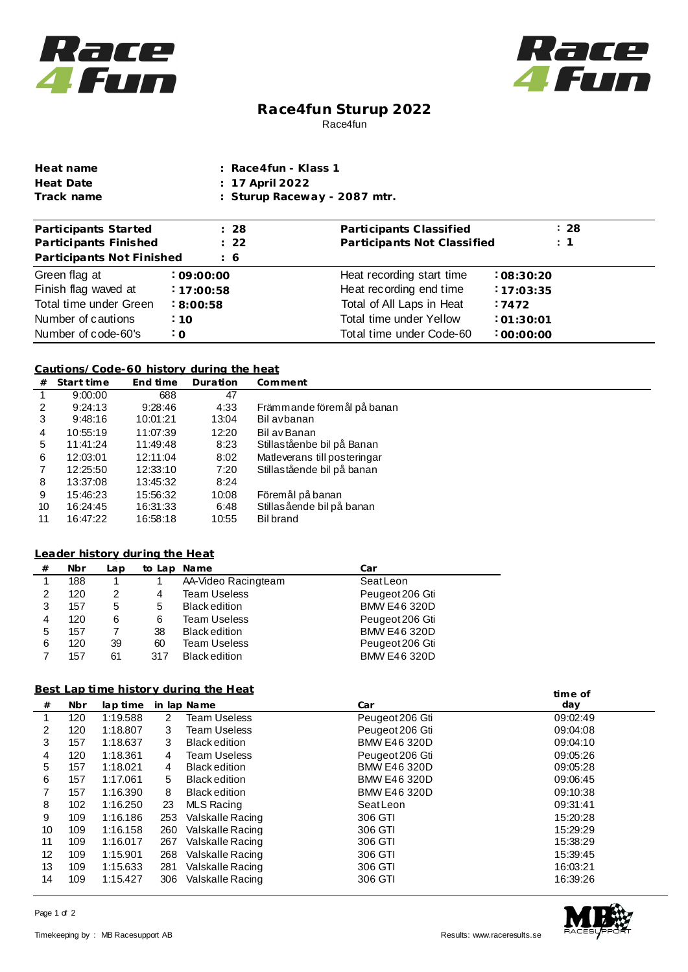



# **Race4fun Sturup 2022** Race4fun

| Heat name  | : Race4fun - Klass 1         |
|------------|------------------------------|
| Heat Date  | : 17 April 2022              |
| Track name | : Sturup Raceway - 2087 mtr. |

| Participants Started      | : 28            | Participants Classified     | : 28           |
|---------------------------|-----------------|-----------------------------|----------------|
| Participants Finished     | $\therefore$ 22 | Participants Not Classified | $\therefore$ 1 |
| Participants Not Finished | $\frac{1}{6}$   |                             |                |
| Green flag at             | :09:00:00       | Heat recording start time   | :08:30:20      |
| Finish flag waved at      | 17:00:58        | Heat recording end time     | :17:03:35      |
| Total time under Green    | : 8:00:58       | Total of All Laps in Heat   | .7472          |
| Number of cautions        | :10             | Total time under Yellow     | :01:30:01      |
| Number of code-60's       | ፡ 0             | Total time under Code-60    | :00:00:00      |

#### **Cautions/Code-60 history during the heat**

| #  | Start time | End time | Duration | Comment                      |
|----|------------|----------|----------|------------------------------|
|    | 9:00:00    | 688      | 47       |                              |
| 2  | 9:24:13    | 9:28:46  | 4:33     | Främmande föremål på banan   |
| 3  | 9:48:16    | 10:01:21 | 13:04    | Bil avbanan                  |
| 4  | 10:55:19   | 11:07:39 | 12:20    | Bil av Banan                 |
| 5  | 11:41:24   | 11:49:48 | 8:23     | Stillaståenbe bil på Banan   |
| 6  | 12:03:01   | 12:11:04 | 8:02     | Matleverans till posteringar |
|    | 12:25:50   | 12:33:10 | 7:20     | Stillastående bil på banan   |
| 8  | 13:37:08   | 13:45:32 | 8:24     |                              |
| 9  | 15:46:23   | 15:56:32 | 10:08    | Föremål på banan             |
| 10 | 16:24:45   | 16:31:33 | 6:48     | Stillasående bil på banan    |
| 11 | 16:47:22   | 16:58:18 | 10:55    | Bil brand                    |

### **from Leader history dur ing the Heat**

| # | Nbr | Lap | to Lap | Name                 | Car                 |
|---|-----|-----|--------|----------------------|---------------------|
|   | 188 |     |        | AA-Video Racingteam  | SeatLeon            |
| 2 | 120 | 2   | 4      | Team Useless         | Peugeot 206 Gti     |
| 3 | 157 | 5   | 5      | <b>Black edition</b> | <b>BMW E46 320D</b> |
| 4 | 120 | 6   | 6      | Team Useless         | Peugeot 206 Gti     |
| 5 | 157 |     | 38     | <b>Black edition</b> | <b>BMW E46 320D</b> |
| 6 | 120 | 39  | 60     | Team Useless         | Peugeot 206 Gti     |
|   | 157 | 61  | 317    | <b>Black edition</b> | <b>BMW E46 320D</b> |

### **Best Lap time history during the Heat**

| Best Lap time history during the Heat |            |          |     |                      | time of             |          |
|---------------------------------------|------------|----------|-----|----------------------|---------------------|----------|
| #                                     | <b>Nbr</b> | lap time |     | in lap Name          | Car                 | day      |
| 1                                     | 120        | 1:19.588 | 2   | <b>Team Useless</b>  | Peugeot 206 Gti     | 09:02:49 |
| 2                                     | 120        | 1:18.807 | 3   | Team Useless         | Peugeot 206 Gti     | 09:04:08 |
| 3                                     | 157        | 1:18.637 | 3   | <b>Black edition</b> | <b>BMW E46 320D</b> | 09:04:10 |
| 4                                     | 120        | 1:18.361 | 4   | Team Useless         | Peugeot 206 Gti     | 09:05:26 |
| 5                                     | 157        | 1:18.021 | 4   | Black edition        | BMW E46 320D        | 09:05:28 |
| 6                                     | 157        | 1:17.061 | 5.  | <b>Black edition</b> | <b>BMW E46 320D</b> | 09:06:45 |
|                                       | 157        | 1:16.390 | 8   | <b>Black edition</b> | BMW E46 320D        | 09:10:38 |
| 8                                     | 102        | 1:16.250 | 23  | <b>MLS Racing</b>    | SeatLeon            | 09:31:41 |
| 9                                     | 109        | 1:16.186 | 253 | Valskalle Racing     | 306 GTI             | 15:20:28 |
| 10                                    | 109        | 1:16.158 | 260 | Valskalle Racing     | 306 GTI             | 15:29:29 |
| 11                                    | 109        | 1:16.017 | 267 | Valskalle Racing     | 306 GTI             | 15:38:29 |
| 12                                    | 109        | 1:15.901 | 268 | Valskalle Racing     | 306 GTI             | 15:39:45 |
| 13                                    | 109        | 1:15.633 | 281 | Valskalle Racing     | 306 GTI             | 16:03:21 |
| 14                                    | 109        | 1:15.427 | 306 | Valskalle Racing     | 306 GTI             | 16:39:26 |